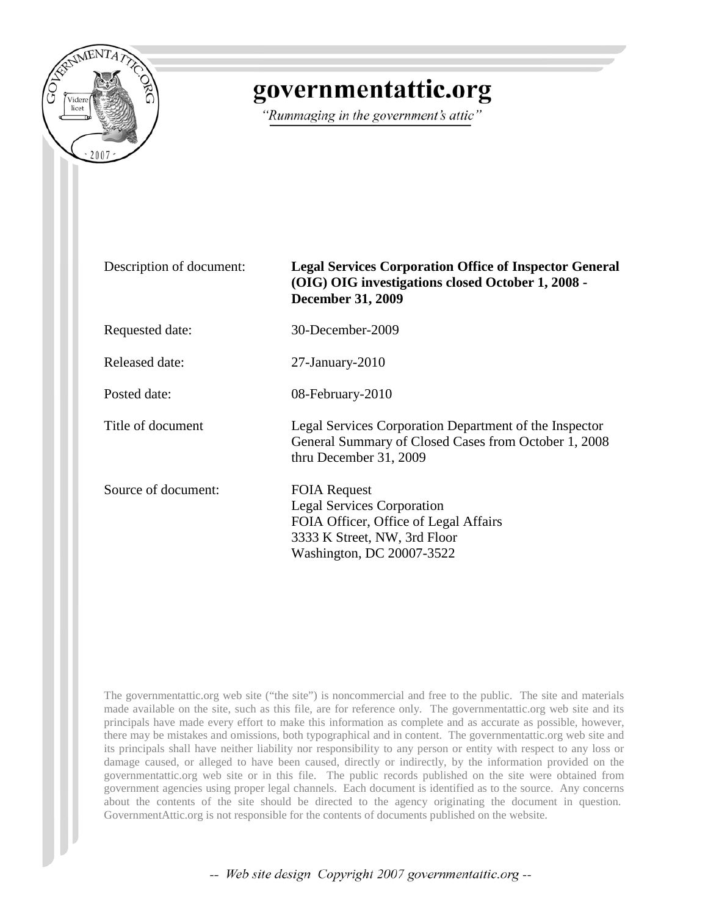

## governmentattic.org

"Rummaging in the government's attic"

## Description of document: **Legal Services Corporation Office of Inspector General (OIG) OIG investigations closed October 1, 2008 - December 31, 2009**

General Summary of Closed Cases from October 1, 2008

Requested date: 30-December-2009

Released date: 27-January-2010

Posted date: 08-February-2010

Title of document<br>
Legal Services Corporation Department of the Inspector

Source of document: FOIA Request

Legal Services Corporation FOIA Officer, Office of Legal Affairs 3333 K Street, NW, 3rd Floor Washington, DC 20007-3522

thru December 31, 2009

The governmentattic.org web site ("the site") is noncommercial and free to the public. The site and materials made available on the site, such as this file, are for reference only. The governmentattic.org web site and its principals have made every effort to make this information as complete and as accurate as possible, however, there may be mistakes and omissions, both typographical and in content. The governmentattic.org web site and its principals shall have neither liability nor responsibility to any person or entity with respect to any loss or damage caused, or alleged to have been caused, directly or indirectly, by the information provided on the governmentattic.org web site or in this file. The public records published on the site were obtained from government agencies using proper legal channels. Each document is identified as to the source. Any concerns about the contents of the site should be directed to the agency originating the document in question. GovernmentAttic.org is not responsible for the contents of documents published on the website.

-- Web site design Copyright 2007 governmentattic.org --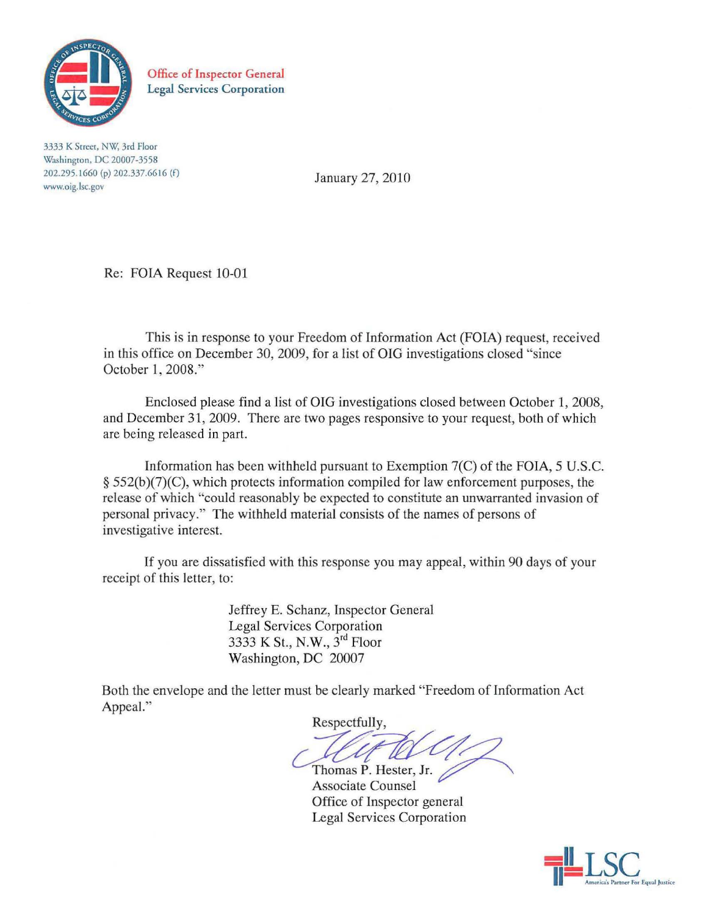

Office of Inspector General Legal Services Corporation

**3333 K Street. NW, 3rd Floor Washington, DC 20007·3558**  202.295.1660 (pi 202.337.6616 (f) **www.oig.lsc.gov** 

January 27, 2010

Re: FOIA Request 10-01

This is in response to your Freedom of Information Act (FOIA) request, received in this office on December 30, 2009, for a list of OIG investigations closed "since October 1, 2008."

Enclosed please find a list of OIG investigations closed between October 1, 2008, and December 31, 2009. There are two pages responsive to your request, both of which are being released in part.

Information has been withheld pursuant to Exemption  $7(C)$  of the FOIA, 5 U.S.C. § 552(b )(7)(C), which protects information compiled for law enforcement purposes, the release of which "could reasonably be expected to constitute an unwarranted invasion of personal privacy." The withheld material consists of the names of persons of investigative interest.

If you are dissatisfied with this response you may appeal, within 90 days of your receipt of this letter, to:

> Jeffrey E. Schanz, Inspector General Legal Services Corporation 3333 K St., N.W., 3rd Floor Washington, DC 20007

Both the envelope and the letter must be clearly marked "Freedom of Information Act Appeal."

Respectfully,  $\bigotimes_{\text{Hester, Jr.}}$ 

Thomas P. Associate Counsel Office of Inspector general Legal Services Corporation

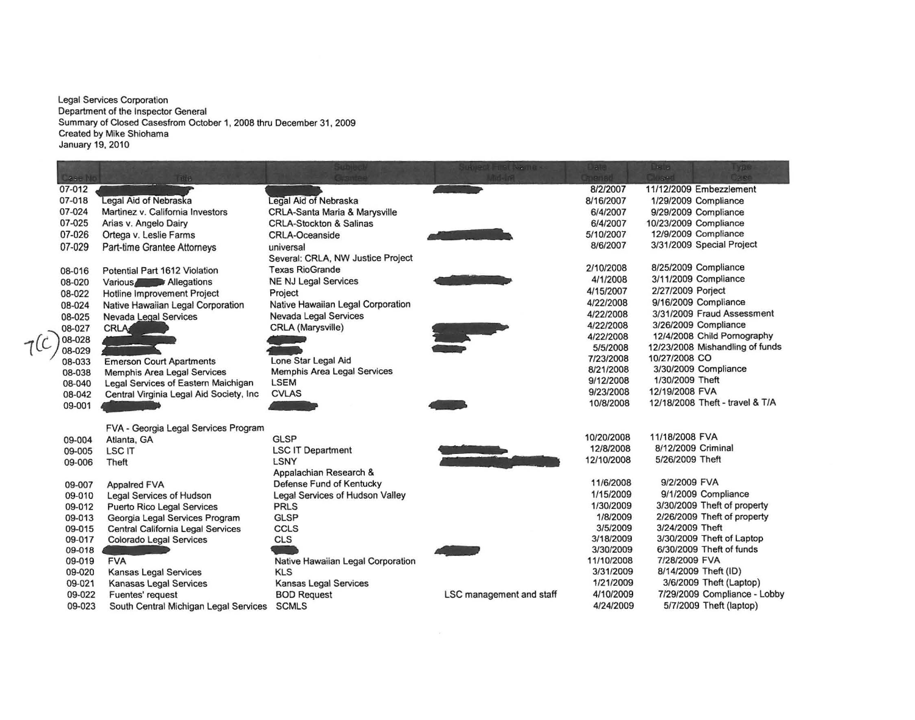**Legal Services Corporation Department of the Inspector General Summary of Closed Casesfrom October 1, 2008 thru December 31, 2009 Created by Mike Shiohama January 19, 2010** 

| Case No | $-1.8$                                  |                                          | LANGEL FUSI (NATIO)      | 学师         | <b>PE 21</b><br><b>175361</b><br><b>Tugert</b> |
|---------|-----------------------------------------|------------------------------------------|--------------------------|------------|------------------------------------------------|
| 07-012  |                                         |                                          |                          | 8/2/2007   | 11/12/2009 Embezzlement                        |
| 07-018  | Legal Aid of Nebraska                   | Legal Aid of Nebraska                    |                          | 8/16/2007  | 1/29/2009 Compliance                           |
| 07-024  | Martinez v. California Investors        | <b>CRLA-Santa Maria &amp; Marysville</b> |                          | 6/4/2007   | 9/29/2009 Compliance                           |
| 07-025  | Arias v. Angelo Dairy                   | <b>CRLA-Stockton &amp; Salinas</b>       |                          | 6/4/2007   | 10/23/2009 Compliance                          |
| 07-026  | Ortega v. Leslie Farms                  | <b>CRLA-Oceanside</b>                    |                          | 5/10/2007  | 12/9/2009 Compliance                           |
| 07-029  | Part-time Grantee Attorneys             | universal                                |                          | 8/6/2007   | 3/31/2009 Special Project                      |
|         |                                         | Several: CRLA, NW Justice Project        |                          |            |                                                |
| 08-016  | Potential Part 1612 Violation           | <b>Texas RioGrande</b>                   |                          | 2/10/2008  | 8/25/2009 Compliance                           |
| 08-020  | Various Allegations                     | <b>NE NJ Legal Services</b>              |                          | 4/1/2008   | 3/11/2009 Compliance                           |
| 08-022  | Hotline Improvement Project             | Project                                  |                          | 4/15/2007  | 2/27/2009 Porject                              |
| 08-024  | Native Hawaiian Legal Corporation       | Native Hawaiian Legal Corporation        |                          | 4/22/2008  | 9/16/2009 Compliance                           |
| 08-025  | Nevada Legal Services                   | Nevada Legal Services                    |                          | 4/22/2008  | 3/31/2009 Fraud Assessment                     |
| 08-027  | <b>CRLA</b>                             | CRLA (Marysville)                        |                          | 4/22/2008  | 3/26/2009 Compliance                           |
| 08-028  |                                         |                                          |                          | 4/22/2008  | 12/4/2008 Child Pornography                    |
| 08-029  |                                         |                                          |                          | 5/5/2008   | 12/23/2008 Mishandling of funds                |
| 08-033  | <b>Emerson Court Apartments</b>         | Lone Star Legal Aid                      |                          | 7/23/2008  | 10/27/2008 CO                                  |
| 08-038  | Memphis Area Legal Services             | Memphis Area Legal Services              |                          | 8/21/2008  | 3/30/2009 Compliance                           |
| 08-040  | Legal Services of Eastern Maichigan     | <b>LSEM</b>                              |                          | 9/12/2008  | 1/30/2009 Theft                                |
| 08-042  | Central Virginia Legal Aid Society, Inc | <b>CVLAS</b>                             |                          | 9/23/2008  | 12/19/2008 FVA                                 |
| 09-001  |                                         |                                          |                          | 10/8/2008  | 12/18/2008 Theft - travel & T/A                |
|         | FVA - Georgia Legal Services Program    |                                          |                          |            |                                                |
| 09-004  | Atlanta, GA                             | <b>GLSP</b>                              |                          | 10/20/2008 | 11/18/2008 FVA                                 |
| 09-005  | <b>LSC IT</b>                           | <b>LSC IT Department</b>                 |                          | 12/8/2008  | 8/12/2009 Criminal                             |
| 09-006  | Theft                                   | <b>LSNY</b>                              |                          | 12/10/2008 | 5/26/2009 Theft                                |
|         |                                         | Appalachian Research &                   |                          |            |                                                |
| 09-007  | <b>Appaired FVA</b>                     | Defense Fund of Kentucky                 |                          | 11/6/2008  | 9/2/2009 FVA                                   |
| 09-010  | <b>Legal Services of Hudson</b>         | Legal Services of Hudson Valley          |                          | 1/15/2009  | 9/1/2009 Compliance                            |
| 09-012  | <b>Puerto Rico Legal Services</b>       | <b>PRLS</b>                              |                          | 1/30/2009  | 3/30/2009 Theft of property                    |
| 09-013  | Georgia Legal Services Program          | <b>GLSP</b>                              |                          | 1/8/2009   | 2/26/2009 Theft of property                    |
| 09-015  | Central California Legal Services       | <b>CCLS</b>                              |                          | 3/5/2009   | 3/24/2009 Theft                                |
| 09-017  | Colorado Legal Services                 | <b>CLS</b>                               |                          | 3/18/2009  | 3/30/2009 Theft of Laptop                      |
| 09-018  |                                         |                                          |                          | 3/30/2009  | 6/30/2009 Theft of funds                       |
| 09-019  | <b>FVA</b>                              | Native Hawaiian Legal Corporation        |                          | 11/10/2008 | 7/28/2009 FVA                                  |
| 09-020  | <b>Kansas Legal Services</b>            | <b>KLS</b>                               |                          | 3/31/2009  | 8/14/2009 Theft (ID)                           |
| 09-021  | Kanasas Legal Services                  | Kansas Legal Services                    |                          | 1/21/2009  | 3/6/2009 Theft (Laptop)                        |
| 09-022  | Fuentes' request                        | <b>BOD Request</b>                       | LSC management and staff | 4/10/2009  | 7/29/2009 Compliance - Lobby                   |
| 09-023  | South Central Michigan Legal Services   | <b>SCMLS</b>                             |                          | 4/24/2009  | 5/7/2009 Theft (laptop)                        |